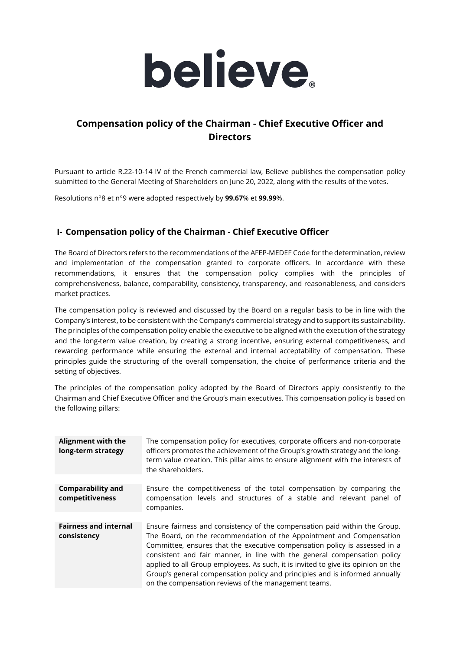

# **Compensation policy of the Chairman - Chief Executive Officer and Directors**

Pursuant to article R.22-10-14 IV of the French commercial law, Believe publishes the compensation policy submitted to the General Meeting of Shareholders on June 20, 2022, along with the results of the votes.

Resolutions n°8 et n°9 were adopted respectively by **99.67**% et **99.99**%.

### **I- Compensation policy of the Chairman - Chief Executive Officer**

The Board of Directors refers to the recommendations of the AFEP-MEDEF Code for the determination, review and implementation of the compensation granted to corporate officers. In accordance with these recommendations, it ensures that the compensation policy complies with the principles of comprehensiveness, balance, comparability, consistency, transparency, and reasonableness, and considers market practices.

The compensation policy is reviewed and discussed by the Board on a regular basis to be in line with the Company's interest, to be consistent with the Company's commercial strategy and to support its sustainability. The principles of the compensation policy enable the executive to be aligned with the execution of the strategy and the long-term value creation, by creating a strong incentive, ensuring external competitiveness, and rewarding performance while ensuring the external and internal acceptability of compensation. These principles guide the structuring of the overall compensation, the choice of performance criteria and the setting of objectives.

The principles of the compensation policy adopted by the Board of Directors apply consistently to the Chairman and Chief Executive Officer and the Group's main executives. This compensation policy is based on the following pillars:

| <b>Alignment with the</b><br>long-term strategy | The compensation policy for executives, corporate officers and non-corporate<br>officers promotes the achievement of the Group's growth strategy and the long-<br>term value creation. This pillar aims to ensure alignment with the interests of<br>the shareholders.                                                                                                                                                                                                                                                                   |
|-------------------------------------------------|------------------------------------------------------------------------------------------------------------------------------------------------------------------------------------------------------------------------------------------------------------------------------------------------------------------------------------------------------------------------------------------------------------------------------------------------------------------------------------------------------------------------------------------|
| <b>Comparability and</b><br>competitiveness     | Ensure the competitiveness of the total compensation by comparing the<br>compensation levels and structures of a stable and relevant panel of<br>companies.                                                                                                                                                                                                                                                                                                                                                                              |
| <b>Fairness and internal</b><br>consistency     | Ensure fairness and consistency of the compensation paid within the Group.<br>The Board, on the recommendation of the Appointment and Compensation<br>Committee, ensures that the executive compensation policy is assessed in a<br>consistent and fair manner, in line with the general compensation policy<br>applied to all Group employees. As such, it is invited to give its opinion on the<br>Group's general compensation policy and principles and is informed annually<br>on the compensation reviews of the management teams. |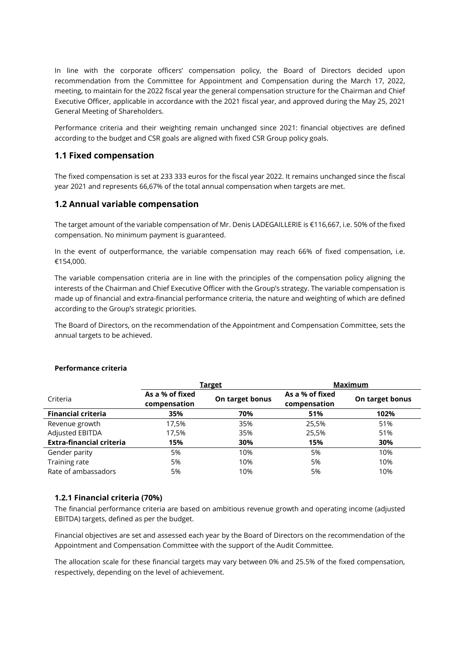In line with the corporate officers' compensation policy, the Board of Directors decided upon recommendation from the Committee for Appointment and Compensation during the March 17, 2022, meeting, to maintain for the 2022 fiscal year the general compensation structure for the Chairman and Chief Executive Officer, applicable in accordance with the 2021 fiscal year, and approved during the May 25, 2021 General Meeting of Shareholders.

Performance criteria and their weighting remain unchanged since 2021: financial objectives are defined according to the budget and CSR goals are aligned with fixed CSR Group policy goals.

### **1.1 Fixed compensation**

The fixed compensation is set at 233 333 euros for the fiscal year 2022. It remains unchanged since the fiscal year 2021 and represents 66,67% of the total annual compensation when targets are met.

### **1.2 Annual variable compensation**

The target amount of the variable compensation of Mr. Denis LADEGAILLERIE is €116,667, i.e. 50% of the fixed compensation. No minimum payment is guaranteed.

In the event of outperformance, the variable compensation may reach 66% of fixed compensation, i.e. €154,000.

The variable compensation criteria are in line with the principles of the compensation policy aligning the interests of the Chairman and Chief Executive Officer with the Group's strategy. The variable compensation is made up of financial and extra-financial performance criteria, the nature and weighting of which are defined according to the Group's strategic priorities.

The Board of Directors, on the recommendation of the Appointment and Compensation Committee, sets the annual targets to be achieved.

|                                 | <u>Target</u>                   |                 | <b>Maximum</b>                  |                 |
|---------------------------------|---------------------------------|-----------------|---------------------------------|-----------------|
| Criteria                        | As a % of fixed<br>compensation | On target bonus | As a % of fixed<br>compensation | On target bonus |
| <b>Financial criteria</b>       | 35%                             | 70%             | 51%                             | 102%            |
| Revenue growth                  | 17,5%                           | 35%             | 25,5%                           | 51%             |
| Adjusted EBITDA                 | 17,5%                           | 35%             | 25,5%                           | 51%             |
| <b>Extra-financial criteria</b> | 15%                             | 30%             | 15%                             | 30%             |
| Gender parity                   | 5%                              | 10%             | 5%                              | 10%             |
| Training rate                   | 5%                              | 10%             | 5%                              | 10%             |
| Rate of ambassadors             | 5%                              | 10%             | 5%                              | 10%             |

#### **Performance criteria**

#### **1.2.1 Financial criteria (70%)**

The financial performance criteria are based on ambitious revenue growth and operating income (adjusted EBITDA) targets, defined as per the budget.

Financial objectives are set and assessed each year by the Board of Directors on the recommendation of the Appointment and Compensation Committee with the support of the Audit Committee.

The allocation scale for these financial targets may vary between 0% and 25.5% of the fixed compensation, respectively, depending on the level of achievement.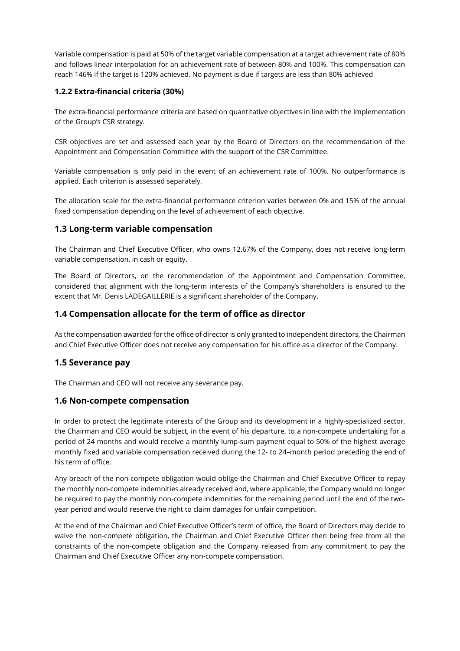Variable compensation is paid at 50% of the target variable compensation at a target achievement rate of 80% and follows linear interpolation for an achievement rate of between 80% and 100%. This compensation can reach 146% if the target is 120% achieved. No payment is due if targets are less than 80% achieved

### **1.2.2 Extra-financial criteria (30%)**

The extra-financial performance criteria are based on quantitative objectives in line with the implementation of the Group's CSR strategy.

CSR objectives are set and assessed each year by the Board of Directors on the recommendation of the Appointment and Compensation Committee with the support of the CSR Committee.

Variable compensation is only paid in the event of an achievement rate of 100%. No outperformance is applied. Each criterion is assessed separately.

The allocation scale for the extra-financial performance criterion varies between 0% and 15% of the annual fixed compensation depending on the level of achievement of each objective.

#### **1.3 Long-term variable compensation**

The Chairman and Chief Executive Officer, who owns 12.67% of the Company, does not receive long-term variable compensation, in cash or equity.

The Board of Directors, on the recommendation of the Appointment and Compensation Committee, considered that alignment with the long-term interests of the Company's shareholders is ensured to the extent that Mr. Denis LADEGAILLERIE is a significant shareholder of the Company.

### **1.4 Compensation allocate for the term of office as director**

As the compensation awarded for the office of director is only granted to independent directors, the Chairman and Chief Executive Officer does not receive any compensation for his office as a director of the Company.

### **1.5 Severance pay**

The Chairman and CEO will not receive any severance pay.

### **1.6 Non-compete compensation**

In order to protect the legitimate interests of the Group and its development in a highly-specialized sector, the Chairman and CEO would be subject, in the event of his departure, to a non-compete undertaking for a period of 24 months and would receive a monthly lump-sum payment equal to 50% of the highest average monthly fixed and variable compensation received during the 12- to 24–month period preceding the end of his term of office.

Any breach of the non-compete obligation would oblige the Chairman and Chief Executive Officer to repay the monthly non-compete indemnities already received and, where applicable, the Company would no longer be required to pay the monthly non-compete indemnities for the remaining period until the end of the twoyear period and would reserve the right to claim damages for unfair competition.

At the end of the Chairman and Chief Executive Officer's term of office, the Board of Directors may decide to waive the non-compete obligation, the Chairman and Chief Executive Officer then being free from all the constraints of the non-compete obligation and the Company released from any commitment to pay the Chairman and Chief Executive Officer any non-compete compensation.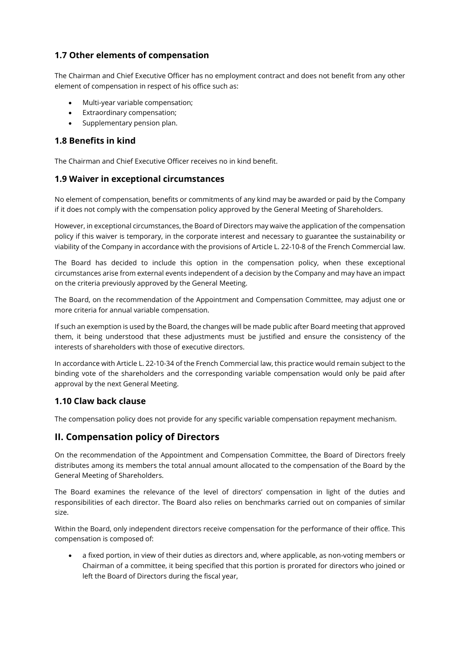## **1.7 Other elements of compensation**

The Chairman and Chief Executive Officer has no employment contract and does not benefit from any other element of compensation in respect of his office such as:

- Multi-year variable compensation;
- Extraordinary compensation;
- Supplementary pension plan.

### **1.8 Benefits in kind**

The Chairman and Chief Executive Officer receives no in kind benefit.

### **1.9 Waiver in exceptional circumstances**

No element of compensation, benefits or commitments of any kind may be awarded or paid by the Company if it does not comply with the compensation policy approved by the General Meeting of Shareholders.

However, in exceptional circumstances, the Board of Directors may waive the application of the compensation policy if this waiver is temporary, in the corporate interest and necessary to guarantee the sustainability or viability of the Company in accordance with the provisions of Article L. 22-10-8 of the French Commercial law.

The Board has decided to include this option in the compensation policy, when these exceptional circumstances arise from external events independent of a decision by the Company and may have an impact on the criteria previously approved by the General Meeting.

The Board, on the recommendation of the Appointment and Compensation Committee, may adjust one or more criteria for annual variable compensation.

If such an exemption is used by the Board, the changes will be made public after Board meeting that approved them, it being understood that these adjustments must be justified and ensure the consistency of the interests of shareholders with those of executive directors.

In accordance with Article L. 22-10-34 of the French Commercial law, this practice would remain subject to the binding vote of the shareholders and the corresponding variable compensation would only be paid after approval by the next General Meeting.

### **1.10 Claw back clause**

The compensation policy does not provide for any specific variable compensation repayment mechanism.

# **II. Compensation policy of Directors**

On the recommendation of the Appointment and Compensation Committee, the Board of Directors freely distributes among its members the total annual amount allocated to the compensation of the Board by the General Meeting of Shareholders.

The Board examines the relevance of the level of directors' compensation in light of the duties and responsibilities of each director. The Board also relies on benchmarks carried out on companies of similar size.

Within the Board, only independent directors receive compensation for the performance of their office. This compensation is composed of:

• a fixed portion, in view of their duties as directors and, where applicable, as non-voting members or Chairman of a committee, it being specified that this portion is prorated for directors who joined or left the Board of Directors during the fiscal year,